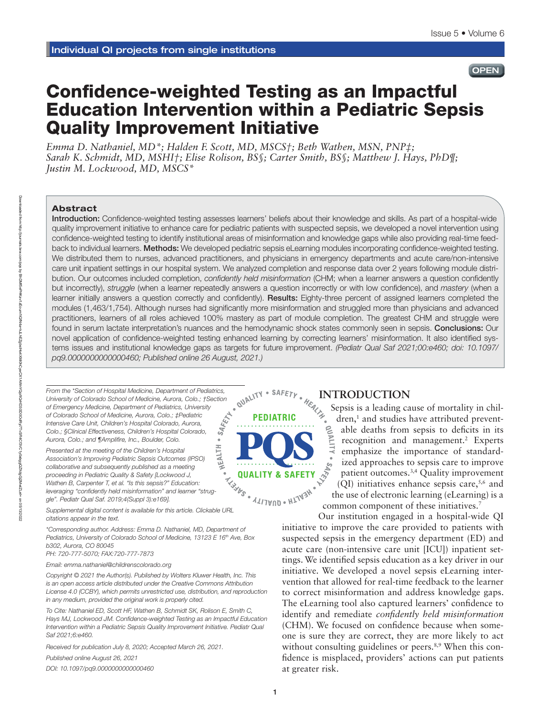# **OPEN**

# Confidence-weighted Testing as an Impactful Education Intervention within a Pediatric Sepsis Quality Improvement Initiative

*Emma D. Nathaniel, MD\*; Halden F. Scott, MD, MSCS†; Beth Wathen, MSN, PNP‡; Sarah K. Schmidt, MD, MSHI†; Elise Rolison, BS§; Carter Smith, BS§; Matthew J. Hays, PhD¶; Justin M. Lockwood, MD, MSCS\** 

## Abstract

Introduction: Confidence-weighted testing assesses learners' beliefs about their knowledge and skills. As part of a hospital-wide quality improvement initiative to enhance care for pediatric patients with suspected sepsis, we developed a novel intervention using confidence-weighted testing to identify institutional areas of misinformation and knowledge gaps while also providing real-time feedback to individual learners. Methods: We developed pediatric sepsis eLearning modules incorporating confidence-weighted testing. We distributed them to nurses, advanced practitioners, and physicians in emergency departments and acute care/non-intensive care unit inpatient settings in our hospital system. We analyzed completion and response data over 2 years following module distribution. Our outcomes included completion, *confidently held misinformation* (CHM; when a learner answers a question confidently but incorrectly), *struggle* (when a learner repeatedly answers a question incorrectly or with low confidence), and *mastery* (when a learner initially answers a question correctly and confidently). Results: Eighty-three percent of assigned learners completed the modules (1,463/1,754). Although nurses had significantly more misinformation and struggled more than physicians and advanced practitioners, learners of all roles achieved 100% mastery as part of module completion. The greatest CHM and struggle were found in serum lactate interpretation's nuances and the hemodynamic shock states commonly seen in sepsis. Conclusions: Our novel application of confidence-weighted testing enhanced learning by correcting learners' misinformation. It also identified systems issues and institutional knowledge gaps as targets for future improvement. *(Pediatr Qual Saf 2021;00:e460; doi: 10.1097/ pq9.0000000000000460; Published online 26 August, 2021.)*

*From the \*Section of Hospital Medicine, Department of Pediatrics, University of Colorado School of Medicine, Aurora, Colo.; †Section of Emergency Medicine, Department of Pediatrics, University of Colorado School of Medicine, Aurora, Colo.; ‡Pediatric Intensive Care Unit, Children's Hospital Colorado, Aurora, Colo.; §Clinical Effectiveness, Children's Hospital Colorado, Aurora, Colo.; and ¶Amplifire, Inc., Boulder, Colo.* HEALTH .

*Presented at the meeting of the Children's Hospital Association's Improving Pediatric Sepsis Outcomes (IPSO) collaborative and subsequently published as a meeting proceeding in Pediatric Quality & Safety [Lockwood J, Wathen B, Carpenter T, et al. "Is this sepsis?" Education: leveraging "confidently held misinformation" and learner "struggle". Pediatr Qual Saf. 2019;4(Suppl 3):e169].*

*Supplemental digital content is available for this article. Clickable URL citations appear in the text.*

*\*Corresponding author. Address: Emma D. Nathaniel, MD, Department of*  Pediatrics, University of Colorado School of Medicine, 13123 E 16<sup>th</sup> Ave, Box *b302, Aurora, CO 80045*

*PH: 720-777-5070; FAX:720-777-7873*

*Email: [emma.nathaniel@childrenscolorado.org](mailto:emma.nathaniel@childrenscolorado.org)*

*Copyright © 2021 the Author(s). Published by Wolters Kluwer Health, Inc. This is an open access article distributed under the [Creative Commons Attribution](http://creativecommons.org/licenses/by/4.0/)  [License 4.0 \(CCBY\)](http://creativecommons.org/licenses/by/4.0/), which permits unrestricted use, distribution, and reproduction in any medium, provided the original work is properly cited.*

*To Cite: Nathaniel ED, Scott HF, Wathen B, Schmidt SK, Rolison E, Smith C, Hays MJ, Lockwood JM. Confidence-weighted Testing as an Impactful Education Intervention within a Pediatric Sepsis Quality Improvement Initiative. Pediatr Qual Saf 2021;6:e460.*

*Received for publication July 8, 2020; Accepted March 26, 2021.*

*Published online August 26, 2021*

*DOI: 10.1097/pq9.0000000000000460*



**INTRODUCTION**<br>Sepsis is a leading cannot be a set of the set of the set of the set of the set of the set of the set of the set of the set of the set of the set of the set of the set of the set of the set of the set of the Sepsis is a leading cause of mortality in children,<sup>1</sup> and studies have attributed preventable deaths from sepsis to deficits in its recognition and management.<sup>2</sup> Experts emphasize the importance of standardized approaches to sepsis care to improve patient outcomes.<sup>3,4</sup> Quality improvement (QI) initiatives enhance sepsis care,  $5,6$  and the use of electronic learning (eLearning) is a common component of these initiatives.<sup>7</sup>

Our institution engaged in a hospital-wide QI initiative to improve the care provided to patients with suspected sepsis in the emergency department (ED) and acute care (non-intensive care unit [ICU]) inpatient settings. We identified sepsis education as a key driver in our initiative. We developed a novel sepsis eLearning intervention that allowed for real-time feedback to the learner to correct misinformation and address knowledge gaps. The eLearning tool also captured learners' confidence to identify and remediate *confidently held misinformation* (CHM). We focused on confidence because when someone is sure they are correct, they are more likely to act without consulting guidelines or peers.<sup>8,9</sup> When this confidence is misplaced, providers' actions can put patients at greater risk.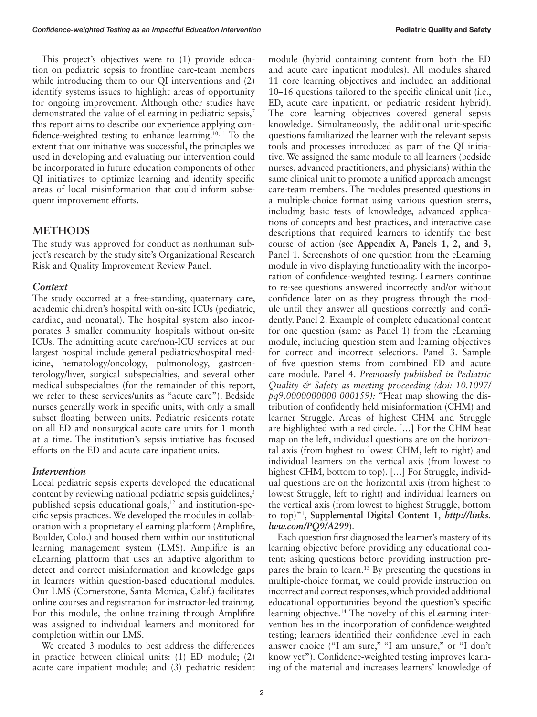This project's objectives were to (1) provide education on pediatric sepsis to frontline care-team members while introducing them to our QI interventions and (2) identify systems issues to highlight areas of opportunity for ongoing improvement. Although other studies have demonstrated the value of eLearning in pediatric sepsis,<sup>7</sup> this report aims to describe our experience applying confidence-weighted testing to enhance learning.10,11 To the extent that our initiative was successful, the principles we used in developing and evaluating our intervention could be incorporated in future education components of other QI initiatives to optimize learning and identify specific areas of local misinformation that could inform subsequent improvement efforts.

# **METHODS**

The study was approved for conduct as nonhuman subject's research by the study site's Organizational Research Risk and Quality Improvement Review Panel.

## *Context*

The study occurred at a free-standing, quaternary care, academic children's hospital with on-site ICUs (pediatric, cardiac, and neonatal). The hospital system also incorporates 3 smaller community hospitals without on-site ICUs. The admitting acute care/non-ICU services at our largest hospital include general pediatrics/hospital medicine, hematology/oncology, pulmonology, gastroenterology/liver, surgical subspecialties, and several other medical subspecialties (for the remainder of this report, we refer to these services/units as "acute care"). Bedside nurses generally work in specific units, with only a small subset floating between units. Pediatric residents rotate on all ED and nonsurgical acute care units for 1 month at a time. The institution's sepsis initiative has focused efforts on the ED and acute care inpatient units.

## *Intervention*

Local pediatric sepsis experts developed the educational content by reviewing national pediatric sepsis guidelines,<sup>3</sup> published sepsis educational goals,<sup>12</sup> and institution-specific sepsis practices. We developed the modules in collaboration with a proprietary eLearning platform (Amplifire, Boulder, Colo.) and housed them within our institutional learning management system (LMS). Amplifire is an eLearning platform that uses an adaptive algorithm to detect and correct misinformation and knowledge gaps in learners within question-based educational modules. Our LMS (Cornerstone, Santa Monica, Calif.) facilitates online courses and registration for instructor-led training. For this module, the online training through Amplifire was assigned to individual learners and monitored for completion within our LMS.

We created 3 modules to best address the differences in practice between clinical units: (1) ED module; (2) acute care inpatient module; and (3) pediatric resident

module (hybrid containing content from both the ED and acute care inpatient modules). All modules shared 11 core learning objectives and included an additional 10–16 questions tailored to the specific clinical unit (i.e., ED, acute care inpatient, or pediatric resident hybrid). The core learning objectives covered general sepsis knowledge. Simultaneously, the additional unit-specific questions familiarized the learner with the relevant sepsis tools and processes introduced as part of the QI initiative. We assigned the same module to all learners (bedside nurses, advanced practitioners, and physicians) within the same clinical unit to promote a unified approach amongst care-team members. The modules presented questions in a multiple-choice format using various question stems, including basic tests of knowledge, advanced applications of concepts and best practices, and interactive case descriptions that required learners to identify the best course of action (**see Appendix A, Panels 1, 2, and 3,** Panel 1. Screenshots of one question from the eLearning module in vivo displaying functionality with the incorporation of confidence-weighted testing. Learners continue to re-see questions answered incorrectly and/or without confidence later on as they progress through the module until they answer all questions correctly and confidently. Panel 2. Example of complete educational content for one question (same as Panel 1) from the eLearning module, including question stem and learning objectives for correct and incorrect selections. Panel 3. Sample of five question stems from combined ED and acute care module. Panel 4. *Previously published in Pediatric Quality & Safety as meeting proceeding (doi: 10.1097/ pq9.0000000000 000159): "*Heat map showing the distribution of confidently held misinformation (CHM) and learner Struggle. Areas of highest CHM and Struggle are highlighted with a red circle. […] For the CHM heat map on the left, individual questions are on the horizontal axis (from highest to lowest CHM, left to right) and individual learners on the vertical axis (from lowest to highest CHM, bottom to top). […] For Struggle, individual questions are on the horizontal axis (from highest to lowest Struggle, left to right) and individual learners on the vertical axis (from lowest to highest Struggle, bottom to top)"1 , **Supplemental Digital Content 1,** *[http://links.](http://links.lww.com/PQ9/A299) [lww.com/PQ9/A299](http://links.lww.com/PQ9/A299)*).

Each question first diagnosed the learner's mastery of its learning objective before providing any educational content; asking questions before providing instruction prepares the brain to learn.13 By presenting the questions in multiple-choice format, we could provide instruction on incorrect and correct responses, which provided additional educational opportunities beyond the question's specific learning objective.14 The novelty of this eLearning intervention lies in the incorporation of confidence-weighted testing; learners identified their confidence level in each answer choice ("I am sure," "I am unsure," or "I don't know yet"). Confidence-weighted testing improves learning of the material and increases learners' knowledge of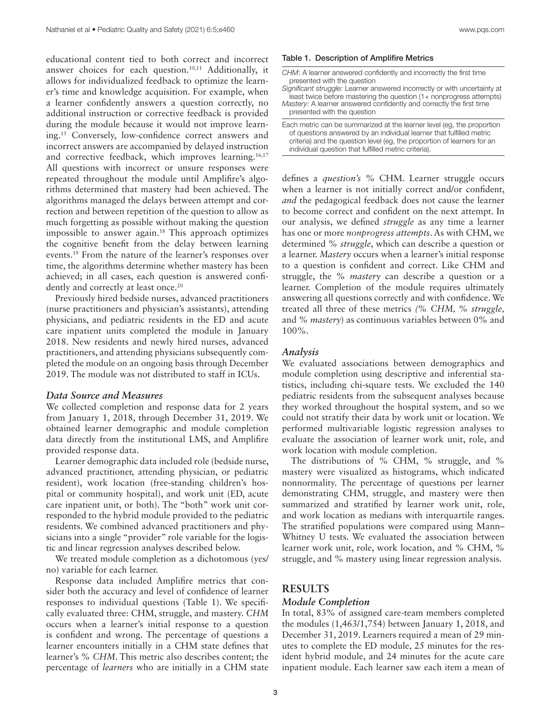educational content tied to both correct and incorrect answer choices for each question.10,11 Additionally, it allows for individualized feedback to optimize the learner's time and knowledge acquisition. For example, when a learner confidently answers a question correctly, no additional instruction or corrective feedback is provided during the module because it would not improve learning.15 Conversely, low-confidence correct answers and incorrect answers are accompanied by delayed instruction and corrective feedback, which improves learning.<sup>16,17</sup> All questions with incorrect or unsure responses were repeated throughout the module until Amplifire's algorithms determined that mastery had been achieved. The algorithms managed the delays between attempt and correction and between repetition of the question to allow as much forgetting as possible without making the question impossible to answer again.<sup>18</sup> This approach optimizes the cognitive benefit from the delay between learning events.19 From the nature of the learner's responses over time, the algorithms determine whether mastery has been achieved; in all cases, each question is answered confidently and correctly at least once.<sup>20</sup>

Previously hired bedside nurses, advanced practitioners (nurse practitioners and physician's assistants), attending physicians, and pediatric residents in the ED and acute care inpatient units completed the module in January 2018. New residents and newly hired nurses, advanced practitioners, and attending physicians subsequently completed the module on an ongoing basis through December 2019. The module was not distributed to staff in ICUs.

#### *Data Source and Measures*

We collected completion and response data for 2 years from January 1, 2018, through December 31, 2019. We obtained learner demographic and module completion data directly from the institutional LMS, and Amplifire provided response data.

Learner demographic data included role (bedside nurse, advanced practitioner, attending physician, or pediatric resident), work location (free-standing children's hospital or community hospital), and work unit (ED, acute care inpatient unit, or both). The "both" work unit corresponded to the hybrid module provided to the pediatric residents. We combined advanced practitioners and physicians into a single "provider" role variable for the logistic and linear regression analyses described below.

We treated module completion as a dichotomous (yes/ no) variable for each learner.

Response data included Amplifire metrics that consider both the accuracy and level of confidence of learner responses to individual questions (Table 1). We specifically evaluated three: CHM, struggle, and mastery. *CHM* occurs when a learner's initial response to a question is confident and wrong. The percentage of questions a learner encounters initially in a CHM state defines that learner's *% CHM*. This metric also describes content; the percentage of *learners* who are initially in a CHM state

#### Table 1. Description of Amplifire Metrics

*CHM*: A learner answered confidently and incorrectly the first time presented with the question

*Significant struggle:* Learner answered incorrectly or with uncertainty at least twice before mastering the question (1+ nonprogress attempts) *Mastery*: A learner answered confidently and correctly the first time

presented with the question

Each metric can be summarized at the learner level (eg, the proportion of questions answered by an individual learner that fulfilled metric criteria) and the question level (eg, the proportion of learners for an individual question that fulfilled metric criteria).

defines a *question's* % CHM. Learner struggle occurs when a learner is not initially correct and/or confident, *and* the pedagogical feedback does not cause the learner to become correct and confident on the next attempt. In our analysis, we defined *struggle* as any time a learner has one or more *nonprogress attempts*. As with CHM, we determined *% struggle*, which can describe a question or a learner. *Mastery* occurs when a learner's initial response to a question is confident and correct. Like CHM and struggle, the *% mastery* can describe a question or a learner. Completion of the module requires ultimately answering all questions correctly and with confidence. We treated all three of these metrics *(% CHM, % struggle,* and *% mastery*) as continuous variables between 0% and 100%.

#### *Analysis*

We evaluated associations between demographics and module completion using descriptive and inferential statistics, including chi-square tests. We excluded the 140 pediatric residents from the subsequent analyses because they worked throughout the hospital system, and so we could not stratify their data by work unit or location. We performed multivariable logistic regression analyses to evaluate the association of learner work unit, role, and work location with module completion.

The distributions of % CHM, % struggle, and % mastery were visualized as histograms, which indicated nonnormality. The percentage of questions per learner demonstrating CHM, struggle, and mastery were then summarized and stratified by learner work unit, role, and work location as medians with interquartile ranges. The stratified populations were compared using Mann– Whitney U tests. We evaluated the association between learner work unit, role, work location, and % CHM, % struggle, and % mastery using linear regression analysis.

# **RESULTS**

### *Module Completion*

In total, 83% of assigned care-team members completed the modules (1,463/1,754) between January 1, 2018, and December 31, 2019. Learners required a mean of 29 minutes to complete the ED module, 25 minutes for the resident hybrid module, and 24 minutes for the acute care inpatient module. Each learner saw each item a mean of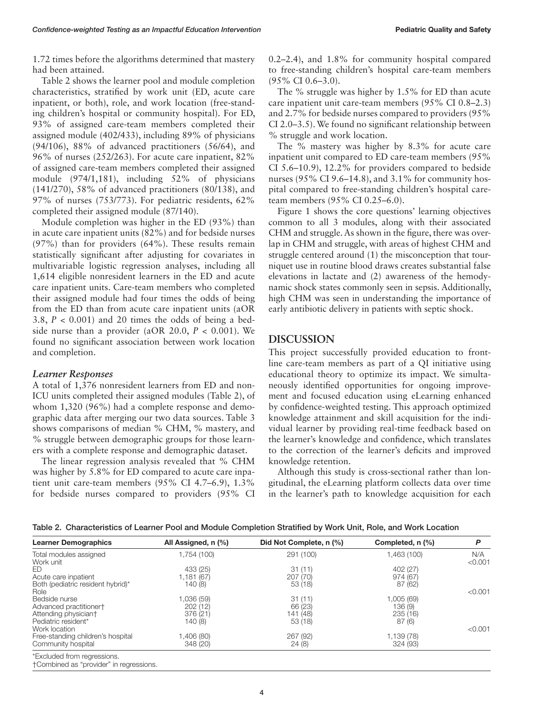1.72 times before the algorithms determined that mastery had been attained.

Table 2 shows the learner pool and module completion characteristics, stratified by work unit (ED, acute care inpatient, or both), role, and work location (free-standing children's hospital or community hospital). For ED, 93% of assigned care-team members completed their assigned module (402/433), including 89% of physicians (94/106), 88% of advanced practitioners (56/64), and 96% of nurses (252/263). For acute care inpatient, 82% of assigned care-team members completed their assigned module (974/1,181), including 52% of physicians (141/270), 58% of advanced practitioners (80/138), and 97% of nurses (753/773). For pediatric residents, 62% completed their assigned module (87/140).

Module completion was higher in the ED (93%) than in acute care inpatient units (82%) and for bedside nurses (97%) than for providers (64%). These results remain statistically significant after adjusting for covariates in multivariable logistic regression analyses, including all 1,614 eligible nonresident learners in the ED and acute care inpatient units. Care-team members who completed their assigned module had four times the odds of being from the ED than from acute care inpatient units (aOR 3.8, *P* < 0.001) and 20 times the odds of being a bedside nurse than a provider (aOR 20.0, *P* < 0.001). We found no significant association between work location and completion.

## *Learner Responses*

A total of 1,376 nonresident learners from ED and non-ICU units completed their assigned modules (Table 2), of whom 1,320 (96%) had a complete response and demographic data after merging our two data sources. Table 3 shows comparisons of median % CHM, % mastery, and % struggle between demographic groups for those learners with a complete response and demographic dataset.

The linear regression analysis revealed that % CHM was higher by 5.8% for ED compared to acute care inpatient unit care-team members (95% CI 4.7–6.9), 1.3% for bedside nurses compared to providers (95% CI 0.2–2.4), and 1.8% for community hospital compared to free-standing children's hospital care-team members (95% CI 0.6–3.0).

The % struggle was higher by 1.5% for ED than acute care inpatient unit care-team members (95% CI 0.8–2.3) and 2.7% for bedside nurses compared to providers (95% CI 2.0–3.5). We found no significant relationship between % struggle and work location.

The % mastery was higher by 8.3% for acute care inpatient unit compared to ED care-team members (95% CI 5.6–10.9), 12.2% for providers compared to bedside nurses (95% CI 9.6–14.8), and 3.1% for community hospital compared to free-standing children's hospital careteam members (95% CI 0.25–6.0).

Figure 1 shows the core questions' learning objectives common to all 3 modules, along with their associated CHM and struggle. As shown in the figure, there was overlap in CHM and struggle, with areas of highest CHM and struggle centered around (1) the misconception that tourniquet use in routine blood draws creates substantial false elevations in lactate and (2) awareness of the hemodynamic shock states commonly seen in sepsis. Additionally, high CHM was seen in understanding the importance of early antibiotic delivery in patients with septic shock.

## **DISCUSSION**

This project successfully provided education to frontline care-team members as part of a QI initiative using educational theory to optimize its impact. We simultaneously identified opportunities for ongoing improvement and focused education using eLearning enhanced by confidence-weighted testing. This approach optimized knowledge attainment and skill acquisition for the individual learner by providing real-time feedback based on the learner's knowledge and confidence, which translates to the correction of the learner's deficits and improved knowledge retention.

Although this study is cross-sectional rather than longitudinal, the eLearning platform collects data over time in the learner's path to knowledge acquisition for each

| <b>Learner Demographics</b>                               | All Assigned, n (%)   | Did Not Complete, n (%) | Completed, n (%)       | P              |  |
|-----------------------------------------------------------|-----------------------|-------------------------|------------------------|----------------|--|
| Total modules assigned<br>Work unit                       | 1,754 (100)           | 291 (100)               | 1,463 (100)            | N/A<br>< 0.001 |  |
| ED.                                                       | 433 (25)              | 31(11)                  | 402 (27)               |                |  |
| Acute care inpatient<br>Both (pediatric resident hybrid)* | 1,181 (67)<br>140 (8) | 207 (70)<br>53 (18)     | 974 (67)<br>87 (62)    |                |  |
| Role                                                      |                       |                         |                        | < 0.001        |  |
| Bedside nurse<br>Advanced practitioner†                   | 1.036 (59)<br>202(12) | 31(11)<br>66 (23)       | 1,005 (69)<br>136 (9)  |                |  |
| Attending physician†                                      | 376 (21)              | 141 (48)                | 235(16)                |                |  |
| Pediatric resident*<br>Work location                      | 140 (8)               | 53 (18)                 | 87(6)                  | < 0.001        |  |
| Free-standing children's hospital<br>Community hospital   | (80) 406.<br>348 (20) | 267 (92)<br>24(8)       | 1,139 (78)<br>324 (93) |                |  |
| *Excluded from regressions.                               |                       |                         |                        |                |  |

Table 2. Characteristics of Learner Pool and Module Completion Stratified by Work Unit, Role, and Work Location

†Combined as "provider" in regressions.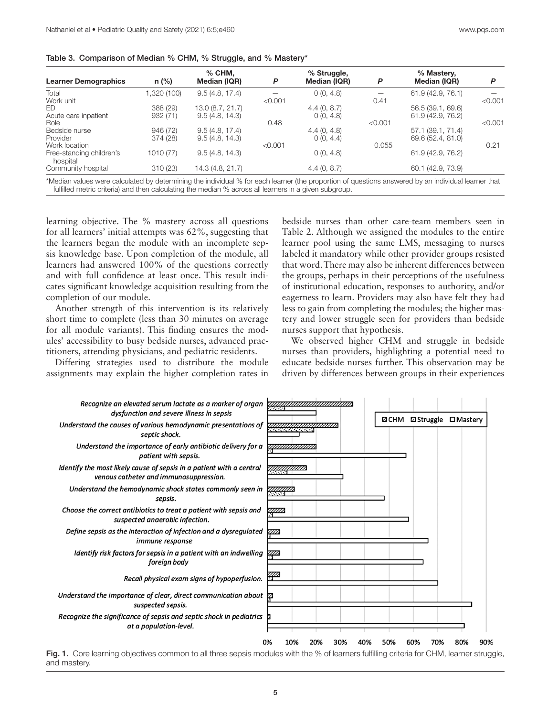| Table 3. Comparison of Median % CHM, % Struggle, and % Mastery* |  |  |  |
|-----------------------------------------------------------------|--|--|--|
|                                                                 |  |  |  |

| <b>Learner Demographics</b>          | $n$ (%)   | $%$ CHM.<br>Median (IQR) | P       | % Struggle,<br>Median (IQR) | P       | % Mastery,<br>Median (IQR) | P       |
|--------------------------------------|-----------|--------------------------|---------|-----------------------------|---------|----------------------------|---------|
| Total                                | ,320(100) | 9.5(4.8, 17.4)           |         | 0(0, 4.8)                   |         | 61.9 (42.9, 76.1)          |         |
| Work unit                            |           |                          | < 0.001 |                             | 0.41    |                            | < 0.001 |
| ED.                                  | 388 (29)  | 13.0 (8.7, 21.7)         |         | 4.4(0, 8.7)                 |         | 56.5 (39.1, 69.6)          |         |
| Acute care inpatient                 | 932(71)   | 9.5(4.8, 14.3)           |         | 0(0, 4.8)                   |         | 61.9 (42.9, 76.2)          |         |
| Role                                 |           |                          | 0.48    |                             | < 0.001 |                            | < 0.001 |
| Bedside nurse                        | 946 (72)  | 9.5(4.8, 17.4)           |         | 4.4(0, 4.8)                 |         | 57.1 (39.1, 71.4)          |         |
| Provider                             | 374 (28)  | 9.5(4.8, 14.3)           |         | 0(0, 4.4)                   |         | 69.6 (52.4, 81.0)          |         |
| Work location                        |           |                          | < 0.001 |                             | 0.055   |                            | 0.21    |
| Free-standing children's<br>hospital | 1010 (77) | 9.5(4.8, 14.3)           |         | 0(0, 4.8)                   |         | 61.9 (42.9, 76.2)          |         |
| Community hospital                   | 310(23)   | 14.3 (4.8, 21.7)         |         | 4.4(0, 8.7)                 |         | 60.1 (42.9, 73.9)          |         |

Median values were calculated by determining the individual % for each learner (the proportion of questions answered by an individual learner that fulfilled metric criteria) and then calculating the median % across all learners in a given subgroup.

learning objective. The % mastery across all questions for all learners' initial attempts was 62%, suggesting that the learners began the module with an incomplete sepsis knowledge base. Upon completion of the module, all learners had answered 100% of the questions correctly and with full confidence at least once. This result indicates significant knowledge acquisition resulting from the completion of our module.

Another strength of this intervention is its relatively short time to complete (less than 30 minutes on average for all module variants). This finding ensures the modules' accessibility to busy bedside nurses, advanced practitioners, attending physicians, and pediatric residents.

Differing strategies used to distribute the module assignments may explain the higher completion rates in

bedside nurses than other care-team members seen in Table 2. Although we assigned the modules to the entire learner pool using the same LMS, messaging to nurses labeled it mandatory while other provider groups resisted that word. There may also be inherent differences between the groups, perhaps in their perceptions of the usefulness of institutional education, responses to authority, and/or eagerness to learn. Providers may also have felt they had less to gain from completing the modules; the higher mastery and lower struggle seen for providers than bedside nurses support that hypothesis.

We observed higher CHM and struggle in bedside nurses than providers, highlighting a potential need to educate bedside nurses further. This observation may be driven by differences between groups in their experiences



Fig. 1. Core learning objectives common to all three sepsis modules with the % of learners fulfilling criteria for CHM, learner struggle, and mastery.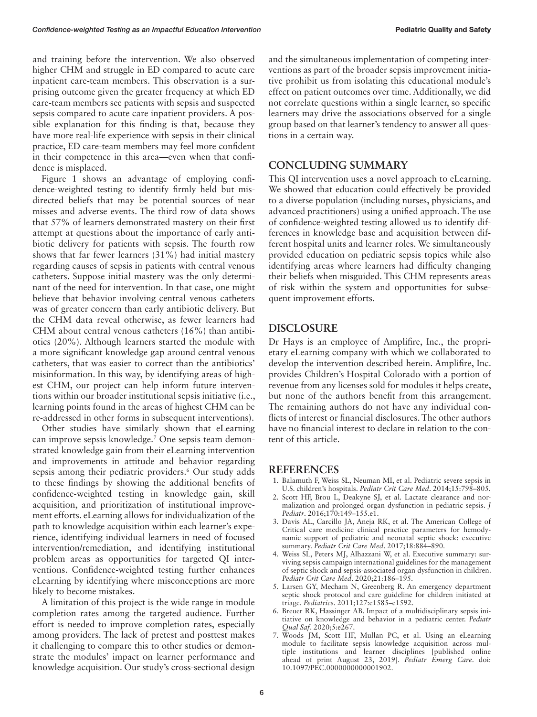and training before the intervention. We also observed higher CHM and struggle in ED compared to acute care inpatient care-team members. This observation is a surprising outcome given the greater frequency at which ED care-team members see patients with sepsis and suspected sepsis compared to acute care inpatient providers. A possible explanation for this finding is that, because they have more real-life experience with sepsis in their clinical practice, ED care-team members may feel more confident in their competence in this area—even when that confidence is misplaced.

Figure 1 shows an advantage of employing confidence-weighted testing to identify firmly held but misdirected beliefs that may be potential sources of near misses and adverse events. The third row of data shows that 57% of learners demonstrated mastery on their first attempt at questions about the importance of early antibiotic delivery for patients with sepsis. The fourth row shows that far fewer learners (31%) had initial mastery regarding causes of sepsis in patients with central venous catheters. Suppose initial mastery was the only determinant of the need for intervention. In that case, one might believe that behavior involving central venous catheters was of greater concern than early antibiotic delivery. But the CHM data reveal otherwise, as fewer learners had CHM about central venous catheters (16%) than antibiotics (20%). Although learners started the module with a more significant knowledge gap around central venous catheters, that was easier to correct than the antibiotics' misinformation. In this way, by identifying areas of highest CHM, our project can help inform future interventions within our broader institutional sepsis initiative (i.e., learning points found in the areas of highest CHM can be re-addressed in other forms in subsequent interventions).

Other studies have similarly shown that eLearning can improve sepsis knowledge.7 One sepsis team demonstrated knowledge gain from their eLearning intervention and improvements in attitude and behavior regarding sepsis among their pediatric providers.<sup>6</sup> Our study adds to these findings by showing the additional benefits of confidence-weighted testing in knowledge gain, skill acquisition, and prioritization of institutional improvement efforts. eLearning allows for individualization of the path to knowledge acquisition within each learner's experience, identifying individual learners in need of focused intervention/remediation, and identifying institutional problem areas as opportunities for targeted QI interventions. Confidence-weighted testing further enhances eLearning by identifying where misconceptions are more likely to become mistakes.

A limitation of this project is the wide range in module completion rates among the targeted audience. Further effort is needed to improve completion rates, especially among providers. The lack of pretest and posttest makes it challenging to compare this to other studies or demonstrate the modules' impact on learner performance and knowledge acquisition. Our study's cross-sectional design

and the simultaneous implementation of competing interventions as part of the broader sepsis improvement initiative prohibit us from isolating this educational module's effect on patient outcomes over time. Additionally, we did not correlate questions within a single learner, so specific learners may drive the associations observed for a single group based on that learner's tendency to answer all questions in a certain way.

# **CONCLUDING SUMMARY**

This QI intervention uses a novel approach to eLearning. We showed that education could effectively be provided to a diverse population (including nurses, physicians, and advanced practitioners) using a unified approach. The use of confidence-weighted testing allowed us to identify differences in knowledge base and acquisition between different hospital units and learner roles. We simultaneously provided education on pediatric sepsis topics while also identifying areas where learners had difficulty changing their beliefs when misguided. This CHM represents areas of risk within the system and opportunities for subsequent improvement efforts.

# **DISCLOSURE**

Dr Hays is an employee of Amplifire, Inc., the proprietary eLearning company with which we collaborated to develop the intervention described herein. Amplifire, Inc. provides Children's Hospital Colorado with a portion of revenue from any licenses sold for modules it helps create, but none of the authors benefit from this arrangement. The remaining authors do not have any individual conflicts of interest or financial disclosures. The other authors have no financial interest to declare in relation to the content of this article.

## **REFERENCES**

- 1. Balamuth F, Weiss SL, Neuman MI, et al. Pediatric severe sepsis in U.S. children's hospitals. *Pediatr Crit Care Med*. 2014;15:798–805.
- 2. Scott HF, Brou L, Deakyne SJ, et al. Lactate clearance and normalization and prolonged organ dysfunction in pediatric sepsis. *J Pediatr*. 2016;170:149–155.e1.
- 3. Davis AL, Carcillo JA, Aneja RK, et al. The American College of Critical care medicine clinical practice parameters for hemodynamic support of pediatric and neonatal septic shock: executive summary. *Pediatr Crit Care Med*. 2017;18:884–890.
- 4. Weiss SL, Peters MJ, Alhazzani W, et al. Executive summary: surviving sepsis campaign international guidelines for the management of septic shock and sepsis-associated organ dysfunction in children. *Pediatr Crit Care Med*. 2020;21:186–195.
- 5. Larsen GY, Mecham N, Greenberg R. An emergency department septic shock protocol and care guideline for children initiated at triage. *Pediatrics*. 2011;127:e1585–e1592.
- 6. Breuer RK, Hassinger AB. Impact of a multidisciplinary sepsis initiative on knowledge and behavior in a pediatric center. *Pediatr Qual Saf*. 2020;5:e267.
- 7. Woods JM, Scott HF, Mullan PC, et al. Using an eLearning module to facilitate sepsis knowledge acquisition across multiple institutions and learner disciplines [published online ahead of print August 23, 2019]. *Pediatr Emerg Care*. doi: 10.1097/PEC.0000000000001902.